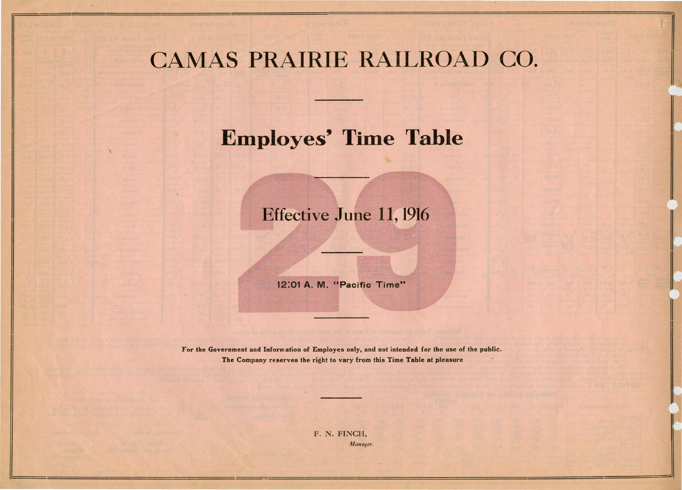## CAMAS PRAIRIE RAILROAD CO.



## Employes' Time Table

## Effective June 11, 1916

12:01 A. M. "Pacific Time"

For the Government and Information of Employes only, and not intended for the use of the public. The Company reserves the right to vary from this Time Table at pleasure

> F. N. FINCH, *lJ1anager.*